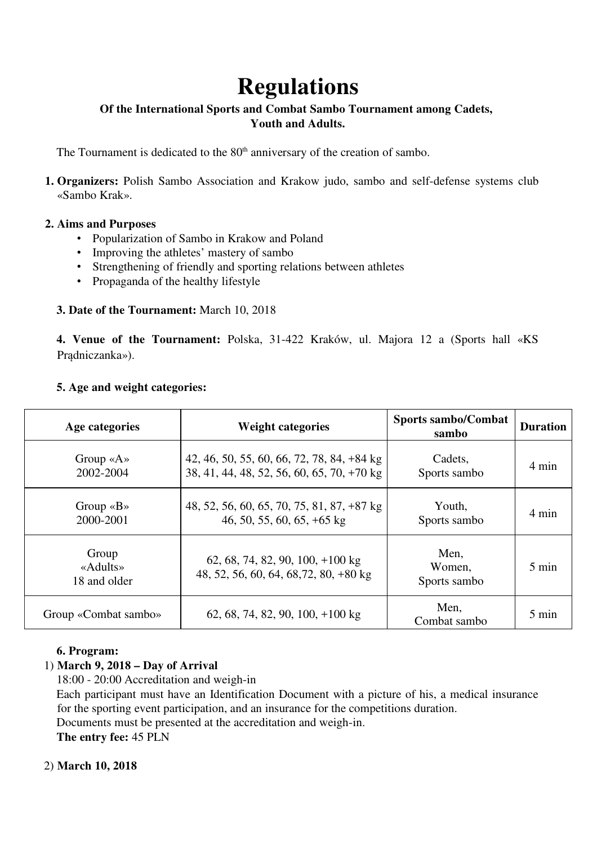# **Regulations**

# **Of the International Sports and Combat Sambo Tournament among Cadets, Youth and Adults.**

The Tournament is dedicated to the 80<sup>th</sup> anniversary of the creation of sambo.

**1. Organizers:** Polish Sambo Association and Krakow judo, sambo and self-defense systems club «Sambo Krak».

#### **2. Aims and Purposes**

- Popularization of Sambo in Krakow and Poland
- Improving the athletes' mastery of sambo
- Strengthening of friendly and sporting relations between athletes
- Propaganda of the healthy lifestyle

#### **3. Date of the Tournament:** March 10, 2018

**4. Venue of the Tournament:** Polska, 31-422 Kraków, ul. Majora 12 a (Sports hall «KS Pradniczanka»).

|  |  |  |  | 5. Age and weight categories: |
|--|--|--|--|-------------------------------|
|--|--|--|--|-------------------------------|

| Age categories                         | <b>Weight categories</b>                                                                 | <b>Sports sambo/Combat</b><br>sambo | <b>Duration</b> |
|----------------------------------------|------------------------------------------------------------------------------------------|-------------------------------------|-----------------|
| Group $\langle A \rangle$<br>2002-2004 | 42, 46, 50, 55, 60, 66, 72, 78, 84, +84 kg<br>38, 41, 44, 48, 52, 56, 60, 65, 70, +70 kg | Cadets,<br>Sports sambo             | 4 min           |
| Group $\langle B \rangle$<br>2000-2001 | 48, 52, 56, 60, 65, 70, 75, 81, 87, +87 kg<br>46, 50, 55, 60, 65, $+65$ kg               | Youth,<br>Sports sambo              | 4 min           |
| Group<br>«Adults»<br>18 and older      | 62, 68, 74, 82, 90, 100, $+100 \text{ kg}$<br>48, 52, 56, 60, 64, 68, 72, 80, +80 kg     | Men,<br>Women,<br>Sports sambo      | $5 \text{ min}$ |
| Group «Combat sambo»                   | 62, 68, 74, 82, 90, 100, $+100 \text{ kg}$                                               | Men,<br>Combat sambo                | 5 min           |

#### **6. Program:**

## 1) **March 9, 2018 – Day of Arrival**

18:00 - 20:00 Accreditation and weigh-in

Each participant must have an Identification Document with a picture of his, a medical insurance for the sporting event participation, and an insurance for the competitions duration.

Documents must be presented at the accreditation and weigh-in.

**The entry fee:** 45 PLN

#### 2) **March 10, 2018**